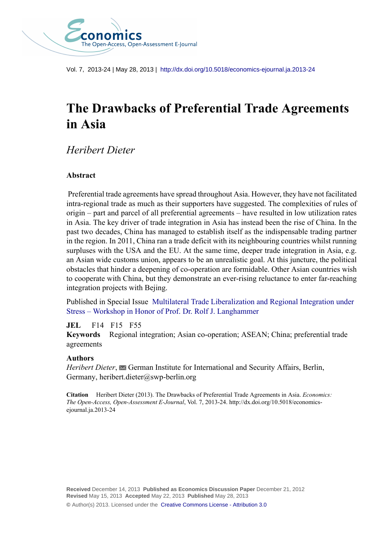

Vol. 7, 2013-24 | May 28, 2013 | <http://dx.doi.org/10.5018/economics-ejournal.ja.2013-24>

# **The Drawbacks of Preferential Trade Agreements in Asia**

*Heribert Dieter*

#### **Abstract**

 Preferential trade agreements have spread throughout Asia. However, they have not facilitated intra-regional trade as much as their supporters have suggested. The complexities of rules of origin – part and parcel of all preferential agreements – have resulted in low utilization rates in Asia. The key driver of trade integration in Asia has instead been the rise of China. In the past two decades, China has managed to establish itself as the indispensable trading partner in the region. In 2011, China ran a trade deficit with its neighbouring countries whilst running surpluses with the USA and the EU. At the same time, deeper trade integration in Asia, e.g. an Asian wide customs union, appears to be an unrealistic goal. At this juncture, the political obstacles that hinder a deepening of co-operation are formidable. Other Asian countries wish to cooperate with China, but they demonstrate an ever-rising reluctance to enter far-reaching integration projects with Bejing.

Published in Special Issue [Multilateral Trade Liberalization and Regional Integration under](http://www.economics-ejournal.org/special-areas/special-issues/multilateral-trade-liberalization-and-regional-integration-under-stress-2013-workshop-in-honor-of-prof.-dr.-rolf-j.-langhammer) [Stress – Workshop in Honor of Prof. Dr. Rolf J. Langhammer](http://www.economics-ejournal.org/special-areas/special-issues/multilateral-trade-liberalization-and-regional-integration-under-stress-2013-workshop-in-honor-of-prof.-dr.-rolf-j.-langhammer)

**JEL** F14 F15 F55

**Keywords** Regional integration; Asian co-operation; ASEAN; China; preferential trade agreements

#### **Authors**

*Heribert Dieter*,  $\blacksquare$  German Institute for International and Security Affairs, Berlin, Germany, heribert.dieter@swp-berlin.org

**Citation** Heribert Dieter (2013). The Drawbacks of Preferential Trade Agreements in Asia. *Economics: The Open-Access, Open-Assessment E-Journal*, Vol. 7, 2013-24. http://dx.doi.org/10.5018/economicsejournal.ja.2013-24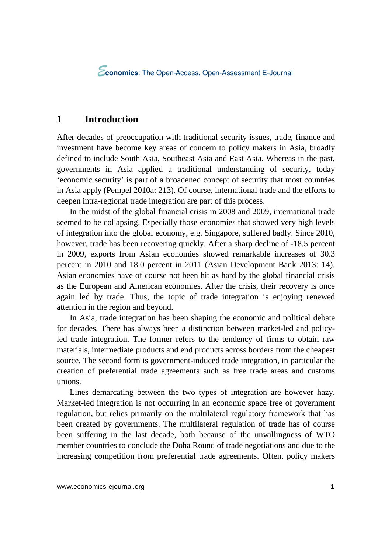#### **1 Introduction**

After decades of preoccupation with traditional security issues, trade, finance and investment have become key areas of concern to policy makers in Asia, broadly defined to include South Asia, Southeast Asia and East Asia. Whereas in the past, governments in Asia applied a traditional understanding of security, today 'economic security' is part of a broadened concept of security that most countries in Asia apply (Pempel 2010a: 213). Of course, international trade and the efforts to deepen intra-regional trade integration are part of this process.

In the midst of the global financial crisis in 2008 and 2009, international trade seemed to be collapsing. Especially those economies that showed very high levels of integration into the global economy, e.g. Singapore, suffered badly. Since 2010, however, trade has been recovering quickly. After a sharp decline of -18.5 percent in 2009, exports from Asian economies showed remarkable increases of 30.3 percent in 2010 and 18.0 percent in 2011 (Asian Development Bank 2013: 14). Asian economies have of course not been hit as hard by the global financial crisis as the European and American economies. After the crisis, their recovery is once again led by trade. Thus, the topic of trade integration is enjoying renewed attention in the region and beyond.

In Asia, trade integration has been shaping the economic and political debate for decades. There has always been a distinction between market-led and policyled trade integration. The former refers to the tendency of firms to obtain raw materials, intermediate products and end products across borders from the cheapest source. The second form is government-induced trade integration, in particular the creation of preferential trade agreements such as free trade areas and customs unions.

Lines demarcating between the two types of integration are however hazy. Market-led integration is not occurring in an economic space free of government regulation, but relies primarily on the multilateral regulatory framework that has been created by governments. The multilateral regulation of trade has of course been suffering in the last decade, both because of the unwillingness of WTO member countries to conclude the Doha Round of trade negotiations and due to the increasing competition from preferential trade agreements. Often, policy makers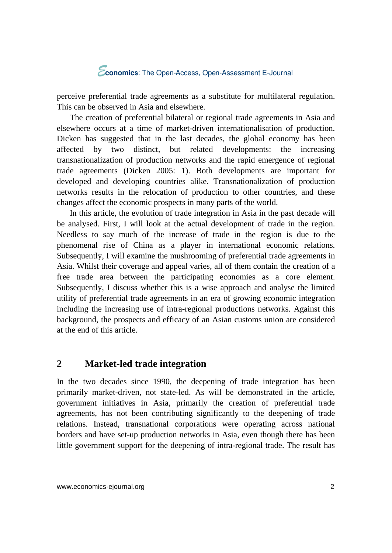perceive preferential trade agreements as a substitute for multilateral regulation. This can be observed in Asia and elsewhere.

The creation of preferential bilateral or regional trade agreements in Asia and elsewhere occurs at a time of market-driven internationalisation of production. Dicken has suggested that in the last decades, the global economy has been affected by two distinct, but related developments: the increasing transnationalization of production networks and the rapid emergence of regional trade agreements (Dicken 2005: 1). Both developments are important for developed and developing countries alike. Transnationalization of production networks results in the relocation of production to other countries, and these changes affect the economic prospects in many parts of the world.

In this article, the evolution of trade integration in Asia in the past decade will be analysed. First, I will look at the actual development of trade in the region. Needless to say much of the increase of trade in the region is due to the phenomenal rise of China as a player in international economic relations. Subsequently, I will examine the mushrooming of preferential trade agreements in Asia. Whilst their coverage and appeal varies, all of them contain the creation of a free trade area between the participating economies as a core element. Subsequently, I discuss whether this is a wise approach and analyse the limited utility of preferential trade agreements in an era of growing economic integration including the increasing use of intra-regional productions networks. Against this background, the prospects and efficacy of an Asian customs union are considered at the end of this article.

#### **2 Market-led trade integration**

In the two decades since 1990, the deepening of trade integration has been primarily market-driven, not state-led. As will be demonstrated in the article, government initiatives in Asia, primarily the creation of preferential trade agreements, has not been contributing significantly to the deepening of trade relations. Instead, transnational corporations were operating across national borders and have set-up production networks in Asia, even though there has been little government support for the deepening of intra-regional trade. The result has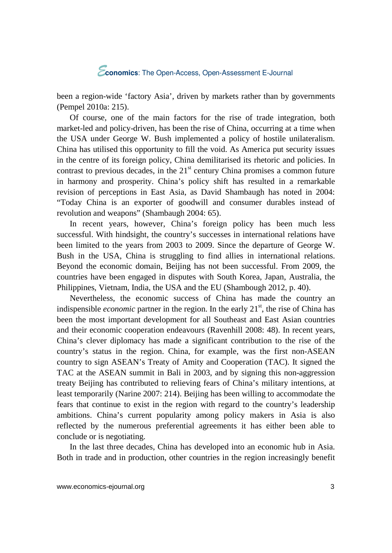been a region-wide 'factory Asia', driven by markets rather than by governments (Pempel 2010a: 215).

Of course, one of the main factors for the rise of trade integration, both market-led and policy-driven, has been the rise of China, occurring at a time when the USA under George W. Bush implemented a policy of hostile unilateralism. China has utilised this opportunity to fill the void. As America put security issues in the centre of its foreign policy, China demilitarised its rhetoric and policies. In contrast to previous decades, in the  $21<sup>st</sup>$  century China promises a common future in harmony and prosperity. China's policy shift has resulted in a remarkable revision of perceptions in East Asia, as David Shambaugh has noted in 2004: "Today China is an exporter of goodwill and consumer durables instead of revolution and weapons" (Shambaugh 2004: 65).

In recent years, however, China's foreign policy has been much less successful. With hindsight, the country's successes in international relations have been limited to the years from 2003 to 2009. Since the departure of George W. Bush in the USA, China is struggling to find allies in international relations. Beyond the economic domain, Beijing has not been successful. From 2009, the countries have been engaged in disputes with South Korea, Japan, Australia, the Philippines, Vietnam, India, the USA and the EU (Shambough 2012, p. 40).

Nevertheless, the economic success of China has made the country an indispensible *economic* partner in the region. In the early  $21<sup>st</sup>$ , the rise of China has been the most important development for all Southeast and East Asian countries and their economic cooperation endeavours (Ravenhill 2008: 48). In recent years, China's clever diplomacy has made a significant contribution to the rise of the country's status in the region. China, for example, was the first non-ASEAN country to sign ASEAN's Treaty of Amity and Cooperation (TAC). It signed the TAC at the ASEAN summit in Bali in 2003, and by signing this non-aggression treaty Beijing has contributed to relieving fears of China's military intentions, at least temporarily (Narine 2007: 214). Beijing has been willing to accommodate the fears that continue to exist in the region with regard to the country's leadership ambitions. China's current popularity among policy makers in Asia is also reflected by the numerous preferential agreements it has either been able to conclude or is negotiating.

In the last three decades, China has developed into an economic hub in Asia. Both in trade and in production, other countries in the region increasingly benefit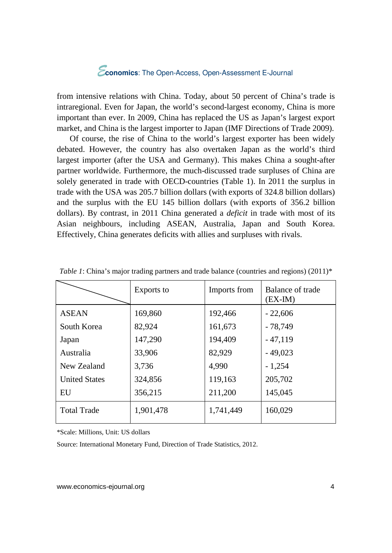from intensive relations with China. Today, about 50 percent of China's trade is intraregional. Even for Japan, the world's second-largest economy, China is more important than ever. In 2009, China has replaced the US as Japan's largest export market, and China is the largest importer to Japan (IMF Directions of Trade 2009).

Of course, the rise of China to the world's largest exporter has been widely debated. However, the country has also overtaken Japan as the world's third largest importer (after the USA and Germany). This makes China a sought-after partner worldwide. Furthermore, the much-discussed trade surpluses of China are solely generated in trade with OECD-countries (Table 1). In 2011 the surplus in trade with the USA was 205.7 billion dollars (with exports of 324.8 billion dollars) and the surplus with the EU 145 billion dollars (with exports of 356.2 billion dollars). By contrast, in 2011 China generated a *deficit* in trade with most of its Asian neighbours, including ASEAN, Australia, Japan and South Korea. Effectively, China generates deficits with allies and surpluses with rivals.

|                      | Exports to | Imports from | Balance of trade<br>(EX-IM) |
|----------------------|------------|--------------|-----------------------------|
| <b>ASEAN</b>         | 169,860    | 192,466      | $-22,606$                   |
| South Korea          | 82,924     | 161,673      | $-78,749$                   |
| Japan                | 147,290    | 194,409      | $-47,119$                   |
| Australia            | 33,906     | 82,929       | $-49,023$                   |
| New Zealand          | 3,736      | 4,990        | $-1,254$                    |
| <b>United States</b> | 324,856    | 119,163      | 205,702                     |
| EU                   | 356,215    | 211,200      | 145,045                     |
| <b>Total Trade</b>   | 1,901,478  | 1,741,449    | 160,029                     |

*Table 1*: China's major trading partners and trade balance (countries and regions) (2011)<sup>\*</sup>

\*Scale: Millions, Unit: US dollars

Source: International Monetary Fund, Direction of Trade Statistics, 2012.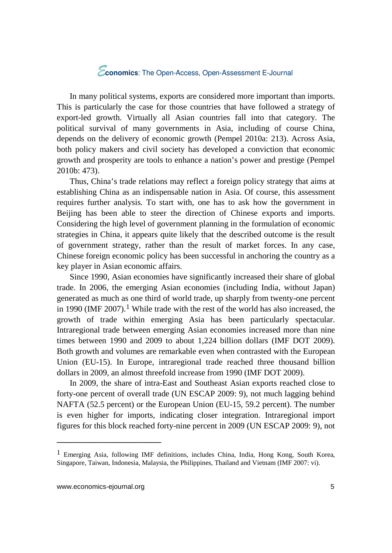In many political systems, exports are considered more important than imports. This is particularly the case for those countries that have followed a strategy of export-led growth. Virtually all Asian countries fall into that category. The political survival of many governments in Asia, including of course China, depends on the delivery of economic growth (Pempel 2010a: 213). Across Asia, both policy makers and civil society has developed a conviction that economic growth and prosperity are tools to enhance a nation's power and prestige (Pempel 2010b: 473).

Thus, China's trade relations may reflect a foreign policy strategy that aims at establishing China as an indispensable nation in Asia. Of course, this assessment requires further analysis. To start with, one has to ask how the government in Beijing has been able to steer the direction of Chinese exports and imports. Considering the high level of government planning in the formulation of economic strategies in China, it appears quite likely that the described outcome is the result of government strategy, rather than the result of market forces. In any case, Chinese foreign economic policy has been successful in anchoring the country as a key player in Asian economic affairs.

Since 1990, Asian economies have significantly increased their share of global trade. In 2006, the emerging Asian economies (including India, without Japan) generated as much as one third of world trade, up sharply from twenty-one percent in [1](#page-5-0)990 (IMF  $2007$ ).<sup>1</sup> While trade with the rest of the world has also increased, the growth of trade within emerging Asia has been particularly spectacular. Intraregional trade between emerging Asian economies increased more than nine times between 1990 and 2009 to about 1,224 billion dollars (IMF DOT 2009). Both growth and volumes are remarkable even when contrasted with the European Union (EU-15). In Europe, intraregional trade reached three thousand billion dollars in 2009, an almost threefold increase from 1990 (IMF DOT 2009).

In 2009, the share of intra-East and Southeast Asian exports reached close to forty-one percent of overall trade (UN ESCAP 2009: 9), not much lagging behind NAFTA (52.5 percent) or the European Union (EU-15, 59.2 percent). The number is even higher for imports, indicating closer integration. Intraregional import figures for this block reached forty-nine percent in 2009 (UN ESCAP 2009: 9), not

<span id="page-5-0"></span><sup>1</sup> Emerging Asia, following IMF definitions, includes China, India, Hong Kong, South Korea, Singapore, Taiwan, Indonesia, Malaysia, the Philippines, Thailand and Vietnam (IMF 2007: vi).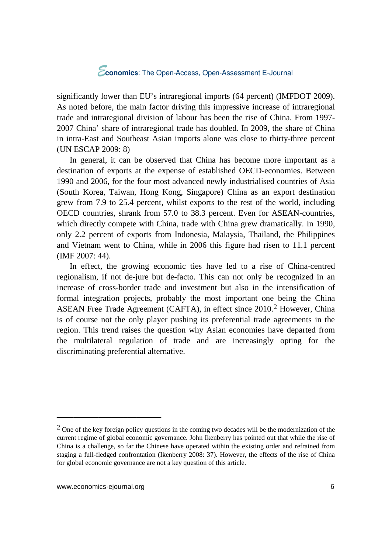significantly lower than EU's intraregional imports (64 percent) (IMFDOT 2009). As noted before, the main factor driving this impressive increase of intraregional trade and intraregional division of labour has been the rise of China. From 1997- 2007 China' share of intraregional trade has doubled. In 2009, the share of China in intra-East and Southeast Asian imports alone was close to thirty-three percent (UN ESCAP 2009: 8)

In general, it can be observed that China has become more important as a destination of exports at the expense of established OECD-economies. Between 1990 and 2006, for the four most advanced newly industrialised countries of Asia (South Korea, Taiwan, Hong Kong, Singapore) China as an export destination grew from 7.9 to 25.4 percent, whilst exports to the rest of the world, including OECD countries, shrank from 57.0 to 38.3 percent. Even for ASEAN-countries, which directly compete with China, trade with China grew dramatically. In 1990, only 2.2 percent of exports from Indonesia, Malaysia, Thailand, the Philippines and Vietnam went to China, while in 2006 this figure had risen to 11.1 percent (IMF 2007: 44).

In effect, the growing economic ties have led to a rise of China-centred regionalism, if not de-jure but de-facto. This can not only be recognized in an increase of cross-border trade and investment but also in the intensification of formal integration projects, probably the most important one being the China ASEAN Free Trade Agreement (CAFTA), in effect since 2010.[2](#page-6-0) However, China is of course not the only player pushing its preferential trade agreements in the region. This trend raises the question why Asian economies have departed from the multilateral regulation of trade and are increasingly opting for the discriminating preferential alternative.

<span id="page-6-0"></span> $<sup>2</sup>$  One of the key foreign policy questions in the coming two decades will be the modernization of the</sup> current regime of global economic governance. John Ikenberry has pointed out that while the rise of China is a challenge, so far the Chinese have operated within the existing order and refrained from staging a full-fledged confrontation (Ikenberry 2008: 37). However, the effects of the rise of China for global economic governance are not a key question of this article.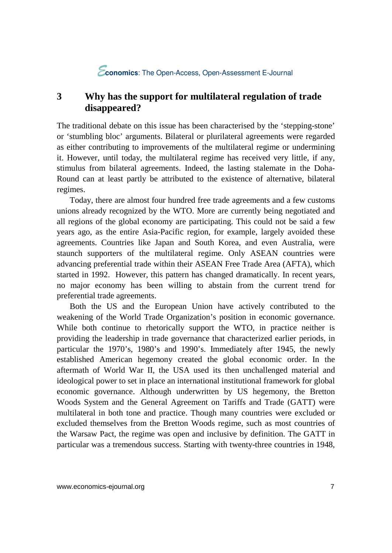#### **3 Why has the support for multilateral regulation of trade disappeared?**

The traditional debate on this issue has been characterised by the 'stepping-stone' or 'stumbling bloc' arguments. Bilateral or plurilateral agreements were regarded as either contributing to improvements of the multilateral regime or undermining it. However, until today, the multilateral regime has received very little, if any, stimulus from bilateral agreements. Indeed, the lasting stalemate in the Doha-Round can at least partly be attributed to the existence of alternative, bilateral regimes.

Today, there are almost four hundred free trade agreements and a few customs unions already recognized by the WTO. More are currently being negotiated and all regions of the global economy are participating. This could not be said a few years ago, as the entire Asia-Pacific region, for example, largely avoided these agreements. Countries like Japan and South Korea, and even Australia, were staunch supporters of the multilateral regime. Only ASEAN countries were advancing preferential trade within their ASEAN Free Trade Area (AFTA), which started in 1992. However, this pattern has changed dramatically. In recent years, no major economy has been willing to abstain from the current trend for preferential trade agreements.

Both the US and the European Union have actively contributed to the weakening of the World Trade Organization's position in economic governance. While both continue to rhetorically support the WTO, in practice neither is providing the leadership in trade governance that characterized earlier periods, in particular the 1970's, 1980's and 1990's. Immediately after 1945, the newly established American hegemony created the global economic order. In the aftermath of World War II, the USA used its then unchallenged material and ideological power to set in place an international institutional framework for global economic governance. Although underwritten by US hegemony, the Bretton Woods System and the General Agreement on Tariffs and Trade (GATT) were multilateral in both tone and practice. Though many countries were excluded or excluded themselves from the Bretton Woods regime, such as most countries of the Warsaw Pact, the regime was open and inclusive by definition. The GATT in particular was a tremendous success. Starting with twenty-three countries in 1948,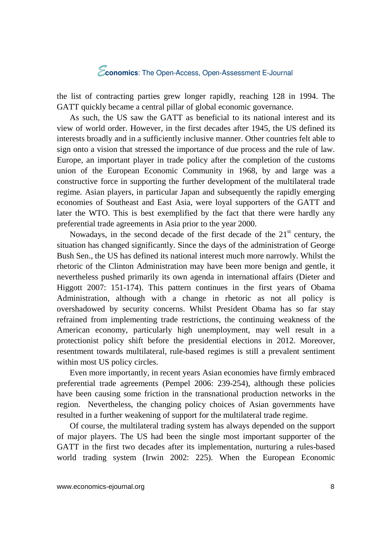the list of contracting parties grew longer rapidly, reaching 128 in 1994. The GATT quickly became a central pillar of global economic governance.

As such, the US saw the GATT as beneficial to its national interest and its view of world order. However, in the first decades after 1945, the US defined its interests broadly and in a sufficiently inclusive manner. Other countries felt able to sign onto a vision that stressed the importance of due process and the rule of law. Europe, an important player in trade policy after the completion of the customs union of the European Economic Community in 1968, by and large was a constructive force in supporting the further development of the multilateral trade regime. Asian players, in particular Japan and subsequently the rapidly emerging economies of Southeast and East Asia, were loyal supporters of the GATT and later the WTO. This is best exemplified by the fact that there were hardly any preferential trade agreements in Asia prior to the year 2000.

Nowadays, in the second decade of the first decade of the  $21<sup>st</sup>$  century, the situation has changed significantly. Since the days of the administration of George Bush Sen., the US has defined its national interest much more narrowly. Whilst the rhetoric of the Clinton Administration may have been more benign and gentle, it nevertheless pushed primarily its own agenda in international affairs (Dieter and Higgott 2007: 151-174). This pattern continues in the first years of Obama Administration, although with a change in rhetoric as not all policy is overshadowed by security concerns. Whilst President Obama has so far stay refrained from implementing trade restrictions, the continuing weakness of the American economy, particularly high unemployment, may well result in a protectionist policy shift before the presidential elections in 2012. Moreover, resentment towards multilateral, rule-based regimes is still a prevalent sentiment within most US policy circles.

Even more importantly, in recent years Asian economies have firmly embraced preferential trade agreements (Pempel 2006: 239-254), although these policies have been causing some friction in the transnational production networks in the region. Nevertheless, the changing policy choices of Asian governments have resulted in a further weakening of support for the multilateral trade regime.

Of course, the multilateral trading system has always depended on the support of major players. The US had been the single most important supporter of the GATT in the first two decades after its implementation, nurturing a rules-based world trading system (Irwin 2002: 225). When the European Economic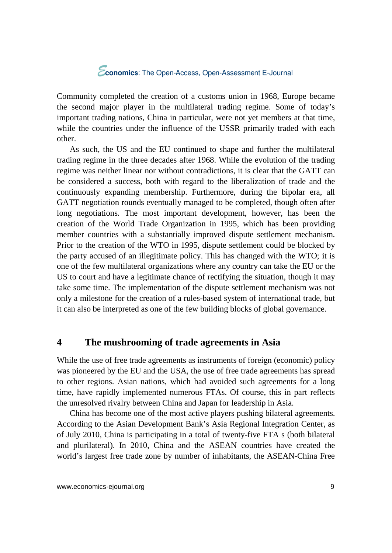Community completed the creation of a customs union in 1968, Europe became the second major player in the multilateral trading regime. Some of today's important trading nations, China in particular, were not yet members at that time, while the countries under the influence of the USSR primarily traded with each other.

As such, the US and the EU continued to shape and further the multilateral trading regime in the three decades after 1968. While the evolution of the trading regime was neither linear nor without contradictions, it is clear that the GATT can be considered a success, both with regard to the liberalization of trade and the continuously expanding membership. Furthermore, during the bipolar era, all GATT negotiation rounds eventually managed to be completed, though often after long negotiations. The most important development, however, has been the creation of the World Trade Organization in 1995, which has been providing member countries with a substantially improved dispute settlement mechanism. Prior to the creation of the WTO in 1995, dispute settlement could be blocked by the party accused of an illegitimate policy. This has changed with the WTO; it is one of the few multilateral organizations where any country can take the EU or the US to court and have a legitimate chance of rectifying the situation, though it may take some time. The implementation of the dispute settlement mechanism was not only a milestone for the creation of a rules-based system of international trade, but it can also be interpreted as one of the few building blocks of global governance.

#### **4 The mushrooming of trade agreements in Asia**

While the use of free trade agreements as instruments of foreign (economic) policy was pioneered by the EU and the USA, the use of free trade agreements has spread to other regions. Asian nations, which had avoided such agreements for a long time, have rapidly implemented numerous FTAs. Of course, this in part reflects the unresolved rivalry between China and Japan for leadership in Asia.

China has become one of the most active players pushing bilateral agreements. According to the Asian Development Bank's Asia Regional Integration Center, as of July 2010, China is participating in a total of twenty-five FTA s (both bilateral and plurilateral). In 2010, China and the ASEAN countries have created the world's largest free trade zone by number of inhabitants, the ASEAN-China Free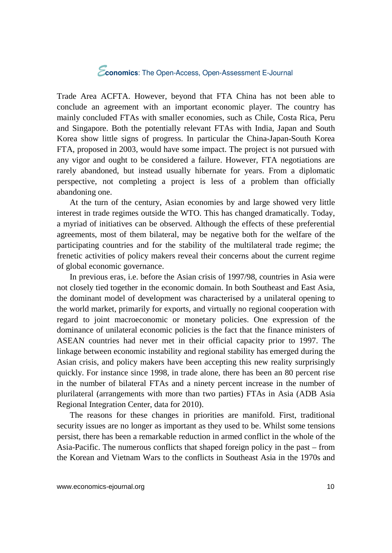Trade Area ACFTA. However, beyond that FTA China has not been able to conclude an agreement with an important economic player. The country has mainly concluded FTAs with smaller economies, such as Chile, Costa Rica, Peru and Singapore. Both the potentially relevant FTAs with India, Japan and South Korea show little signs of progress. In particular the China-Japan-South Korea FTA, proposed in 2003, would have some impact. The project is not pursued with any vigor and ought to be considered a failure. However, FTA negotiations are rarely abandoned, but instead usually hibernate for years. From a diplomatic perspective, not completing a project is less of a problem than officially abandoning one.

At the turn of the century, Asian economies by and large showed very little interest in trade regimes outside the WTO. This has changed dramatically. Today, a myriad of initiatives can be observed. Although the effects of these preferential agreements, most of them bilateral, may be negative both for the welfare of the participating countries and for the stability of the multilateral trade regime; the frenetic activities of policy makers reveal their concerns about the current regime of global economic governance.

In previous eras, i.e. before the Asian crisis of 1997/98, countries in Asia were not closely tied together in the economic domain. In both Southeast and East Asia, the dominant model of development was characterised by a unilateral opening to the world market, primarily for exports, and virtually no regional cooperation with regard to joint macroeconomic or monetary policies. One expression of the dominance of unilateral economic policies is the fact that the finance ministers of ASEAN countries had never met in their official capacity prior to 1997. The linkage between economic instability and regional stability has emerged during the Asian crisis, and policy makers have been accepting this new reality surprisingly quickly. For instance since 1998, in trade alone, there has been an 80 percent rise in the number of bilateral FTAs and a ninety percent increase in the number of plurilateral (arrangements with more than two parties) FTAs in Asia (ADB Asia Regional Integration Center, data for 2010).

The reasons for these changes in priorities are manifold. First, traditional security issues are no longer as important as they used to be. Whilst some tensions persist, there has been a remarkable reduction in armed conflict in the whole of the Asia-Pacific. The numerous conflicts that shaped foreign policy in the past – from the Korean and Vietnam Wars to the conflicts in Southeast Asia in the 1970s and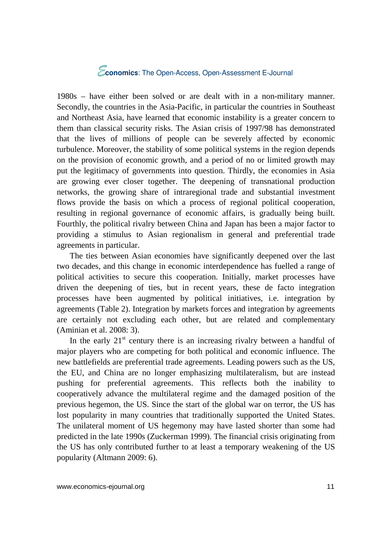1980s – have either been solved or are dealt with in a non-military manner. Secondly, the countries in the Asia-Pacific, in particular the countries in Southeast and Northeast Asia, have learned that economic instability is a greater concern to them than classical security risks. The Asian crisis of 1997/98 has demonstrated that the lives of millions of people can be severely affected by economic turbulence. Moreover, the stability of some political systems in the region depends on the provision of economic growth, and a period of no or limited growth may put the legitimacy of governments into question. Thirdly, the economies in Asia are growing ever closer together. The deepening of transnational production networks, the growing share of intraregional trade and substantial investment flows provide the basis on which a process of regional political cooperation, resulting in regional governance of economic affairs, is gradually being built. Fourthly, the political rivalry between China and Japan has been a major factor to providing a stimulus to Asian regionalism in general and preferential trade agreements in particular.

The ties between Asian economies have significantly deepened over the last two decades, and this change in economic interdependence has fuelled a range of political activities to secure this cooperation. Initially, market processes have driven the deepening of ties, but in recent years, these de facto integration processes have been augmented by political initiatives, i.e. integration by agreements (Table 2). Integration by markets forces and integration by agreements are certainly not excluding each other, but are related and complementary (Aminian et al. 2008: 3).

In the early  $21<sup>st</sup>$  century there is an increasing rivalry between a handful of major players who are competing for both political and economic influence. The new battlefields are preferential trade agreements. Leading powers such as the US, the EU, and China are no longer emphasizing multilateralism, but are instead pushing for preferential agreements. This reflects both the inability to cooperatively advance the multilateral regime and the damaged position of the previous hegemon, the US. Since the start of the global war on terror, the US has lost popularity in many countries that traditionally supported the United States. The unilateral moment of US hegemony may have lasted shorter than some had predicted in the late 1990s (Zuckerman 1999). The financial crisis originating from the US has only contributed further to at least a temporary weakening of the US popularity (Altmann 2009: 6).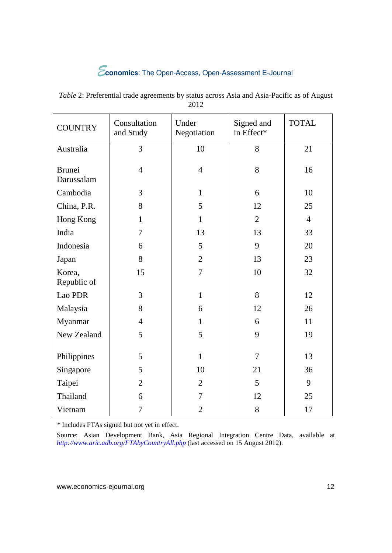| <b>COUNTRY</b>              | Consultation<br>and Study | Under<br>Negotiation | Signed and<br>in Effect* | <b>TOTAL</b>   |
|-----------------------------|---------------------------|----------------------|--------------------------|----------------|
| Australia                   | $\overline{3}$            | 10                   | 8                        | 21             |
| <b>Brunei</b><br>Darussalam | $\overline{4}$            | $\overline{4}$       | 8                        | 16             |
| Cambodia                    | 3                         | $\mathbf{1}$         | 6                        | 10             |
| China, P.R.                 | 8                         | 5                    | 12                       | 25             |
| Hong Kong                   | $\mathbf{1}$              | $\mathbf{1}$         | $\overline{2}$           | $\overline{4}$ |
| India                       | $\overline{7}$            | 13                   | 13                       | 33             |
| Indonesia                   | 6                         | 5                    | 9                        | 20             |
| Japan                       | 8                         | $\overline{2}$       | 13                       | 23             |
| Korea,<br>Republic of       | 15                        | 7                    | 10                       | 32             |
| Lao PDR                     | 3                         | $\mathbf{1}$         | 8                        | 12             |
| Malaysia                    | 8                         | 6                    | 12                       | 26             |
| Myanmar                     | $\overline{4}$            | $\mathbf{1}$         | 6                        | 11             |
| New Zealand                 | 5                         | 5                    | 9                        | 19             |
| Philippines                 | 5                         | $\mathbf{1}$         | $\overline{7}$           | 13             |
| Singapore                   | 5                         | 10                   | 21                       | 36             |
| Taipei                      | $\overline{2}$            | $\overline{2}$       | 5                        | 9              |
| Thailand                    | 6                         | $\overline{7}$       | 12                       | 25             |
| Vietnam                     | $\overline{7}$            | $\overline{2}$       | 8                        | 17             |

*Table* 2: Preferential trade agreements by status across Asia and Asia-Pacific as of August 2012

*\** Includes FTAs signed but not yet in effect.

Source: Asian Development Bank, Asia Regional Integration Centre Data, available at *<http://www.aric.adb.org/FTAbyCountryAll.php>* (last accessed on 15 August 2012).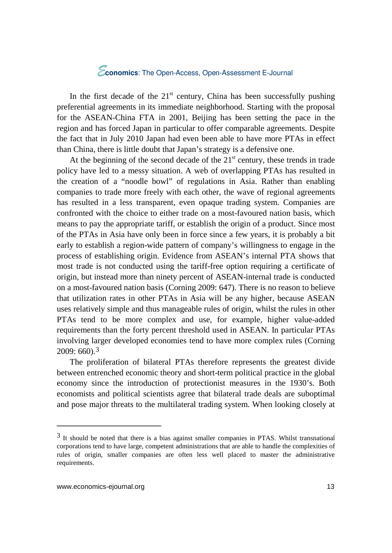In the first decade of the  $21<sup>st</sup>$  century. China has been successfully pushing preferential agreements in its immediate neighborhood. Starting with the proposal for the ASEAN-China FTA in 2001, Beijing has been setting the pace in the region and has forced Japan in particular to offer comparable agreements. Despite the fact that in July 2010 Japan had even been able to have more PTAs in effect than China, there is little doubt that Japan's strategy is a defensive one.

At the beginning of the second decade of the  $21<sup>st</sup>$  century, these trends in trade policy have led to a messy situation. A web of overlapping PTAs has resulted in the creation of a "noodle bowl" of regulations in Asia. Rather than enabling companies to trade more freely with each other, the wave of regional agreements has resulted in a less transparent, even opaque trading system. Companies are confronted with the choice to either trade on a most-favoured nation basis, which means to pay the appropriate tariff, or establish the origin of a product. Since most of the PTAs in Asia have only been in force since a few years, it is probably a bit early to establish a region-wide pattern of company's willingness to engage in the process of establishing origin. Evidence from ASEAN's internal PTA shows that most trade is not conducted using the tariff-free option requiring a certificate of origin, but instead more than ninety percent of ASEAN-internal trade is conducted on a most-favoured nation basis (Corning 2009: 647). There is no reason to believe that utilization rates in other PTAs in Asia will be any higher, because ASEAN uses relatively simple and thus manageable rules of origin, whilst the rules in other PTAs tend to be more complex and use, for example, higher value-added requirements than the forty percent threshold used in ASEAN. In particular PTAs involving larger developed economies tend to have more complex rules (Corning  $2009:660.3$  $2009:660.3$ 

The proliferation of bilateral PTAs therefore represents the greatest divide between entrenched economic theory and short-term political practice in the global economy since the introduction of protectionist measures in the 1930's. Both economists and political scientists agree that bilateral trade deals are suboptimal and pose major threats to the multilateral trading system. When looking closely at

<span id="page-13-0"></span><sup>3</sup> It should be noted that there is a bias against smaller companies in PTAS. Whilst transnational corporations tend to have large, competent administrations that are able to handle the complexities of rules of origin, smaller companies are often less well placed to master the administrative requirements.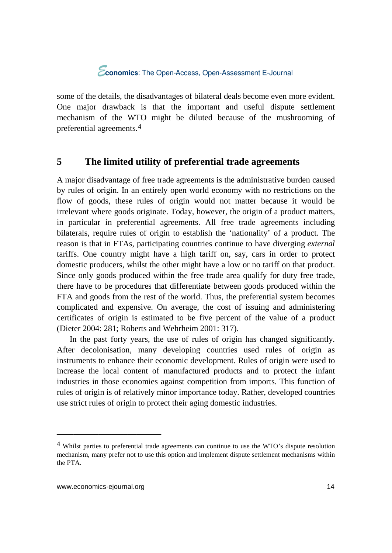some of the details, the disadvantages of bilateral deals become even more evident. One major drawback is that the important and useful dispute settlement mechanism of the WTO might be diluted because of the mushrooming of preferential agreements.[4](#page-14-0)

#### **5 The limited utility of preferential trade agreements**

A major disadvantage of free trade agreements is the administrative burden caused by rules of origin. In an entirely open world economy with no restrictions on the flow of goods, these rules of origin would not matter because it would be irrelevant where goods originate. Today, however, the origin of a product matters, in particular in preferential agreements. All free trade agreements including bilaterals, require rules of origin to establish the 'nationality' of a product. The reason is that in FTAs, participating countries continue to have diverging *external* tariffs. One country might have a high tariff on, say, cars in order to protect domestic producers, whilst the other might have a low or no tariff on that product. Since only goods produced within the free trade area qualify for duty free trade, there have to be procedures that differentiate between goods produced within the FTA and goods from the rest of the world. Thus, the preferential system becomes complicated and expensive. On average, the cost of issuing and administering certificates of origin is estimated to be five percent of the value of a product (Dieter 2004: 281; Roberts and Wehrheim 2001: 317).

In the past forty years, the use of rules of origin has changed significantly. After decolonisation, many developing countries used rules of origin as instruments to enhance their economic development. Rules of origin were used to increase the local content of manufactured products and to protect the infant industries in those economies against competition from imports. This function of rules of origin is of relatively minor importance today. Rather, developed countries use strict rules of origin to protect their aging domestic industries.

<span id="page-14-0"></span><sup>4</sup> Whilst parties to preferential trade agreements can continue to use the WTO's dispute resolution mechanism, many prefer not to use this option and implement dispute settlement mechanisms within the PTA.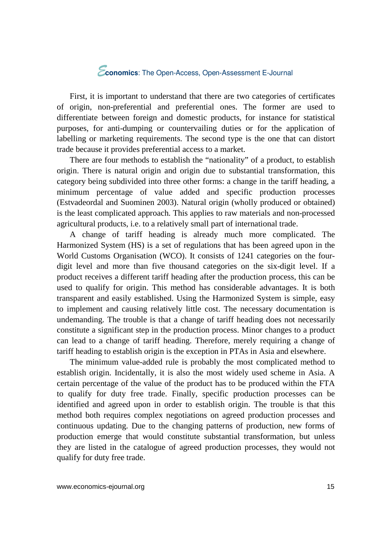First, it is important to understand that there are two categories of certificates of origin, non-preferential and preferential ones. The former are used to differentiate between foreign and domestic products, for instance for statistical purposes, for anti-dumping or countervailing duties or for the application of labelling or marketing requirements. The second type is the one that can distort trade because it provides preferential access to a market.

There are four methods to establish the "nationality" of a product, to establish origin. There is natural origin and origin due to substantial transformation, this category being subdivided into three other forms: a change in the tariff heading, a minimum percentage of value added and specific production processes (Estvadeordal and Suominen 2003). Natural origin (wholly produced or obtained) is the least complicated approach. This applies to raw materials and non-processed agricultural products, i.e. to a relatively small part of international trade.

A change of tariff heading is already much more complicated. The Harmonized System (HS) is a set of regulations that has been agreed upon in the World Customs Organisation (WCO). It consists of 1241 categories on the fourdigit level and more than five thousand categories on the six-digit level. If a product receives a different tariff heading after the production process, this can be used to qualify for origin. This method has considerable advantages. It is both transparent and easily established. Using the Harmonized System is simple, easy to implement and causing relatively little cost. The necessary documentation is undemanding. The trouble is that a change of tariff heading does not necessarily constitute a significant step in the production process. Minor changes to a product can lead to a change of tariff heading. Therefore, merely requiring a change of tariff heading to establish origin is the exception in PTAs in Asia and elsewhere.

The minimum value-added rule is probably the most complicated method to establish origin. Incidentally, it is also the most widely used scheme in Asia. A certain percentage of the value of the product has to be produced within the FTA to qualify for duty free trade. Finally, specific production processes can be identified and agreed upon in order to establish origin. The trouble is that this method both requires complex negotiations on agreed production processes and continuous updating. Due to the changing patterns of production, new forms of production emerge that would constitute substantial transformation, but unless they are listed in the catalogue of agreed production processes, they would not qualify for duty free trade.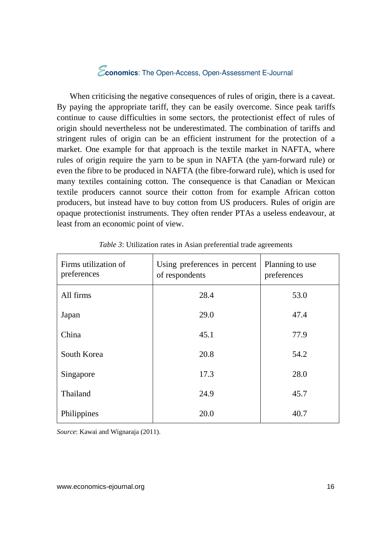When criticising the negative consequences of rules of origin, there is a caveat. By paying the appropriate tariff, they can be easily overcome. Since peak tariffs continue to cause difficulties in some sectors, the protectionist effect of rules of origin should nevertheless not be underestimated. The combination of tariffs and stringent rules of origin can be an efficient instrument for the protection of a market. One example for that approach is the textile market in NAFTA, where rules of origin require the yarn to be spun in NAFTA (the yarn-forward rule) or even the fibre to be produced in NAFTA (the fibre-forward rule), which is used for many textiles containing cotton. The consequence is that Canadian or Mexican textile producers cannot source their cotton from for example African cotton producers, but instead have to buy cotton from US producers. Rules of origin are opaque protectionist instruments. They often render PTAs a useless endeavour, at least from an economic point of view.

| Firms utilization of<br>preferences | Using preferences in percent<br>of respondents | Planning to use<br>preferences |  |
|-------------------------------------|------------------------------------------------|--------------------------------|--|
| All firms                           | 28.4                                           | 53.0                           |  |
| Japan                               | 29.0                                           | 47.4                           |  |
| China                               | 45.1                                           | 77.9                           |  |
| South Korea                         | 20.8                                           | 54.2                           |  |
| Singapore                           | 17.3                                           | 28.0                           |  |
| Thailand                            | 24.9                                           | 45.7                           |  |
| Philippines                         | 20.0                                           | 40.7                           |  |

*Table 3*: Utilization rates in Asian preferential trade agreements

*Source*: Kawai and Wignaraja (2011).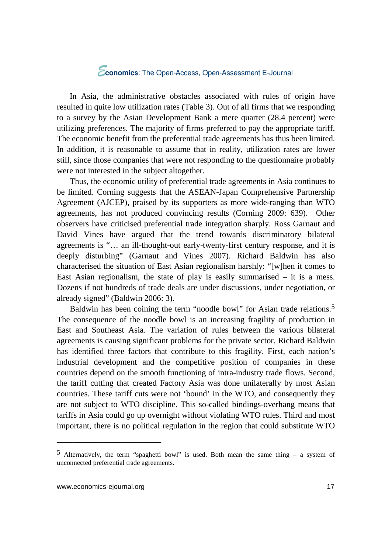In Asia, the administrative obstacles associated with rules of origin have resulted in quite low utilization rates (Table 3). Out of all firms that we responding to a survey by the Asian Development Bank a mere quarter (28.4 percent) were utilizing preferences. The majority of firms preferred to pay the appropriate tariff. The economic benefit from the preferential trade agreements has thus been limited. In addition, it is reasonable to assume that in reality, utilization rates are lower still, since those companies that were not responding to the questionnaire probably were not interested in the subject altogether.

Thus, the economic utility of preferential trade agreements in Asia continues to be limited. Corning suggests that the ASEAN-Japan Comprehensive Partnership Agreement (AJCEP), praised by its supporters as more wide-ranging than WTO agreements, has not produced convincing results (Corning 2009: 639). Other observers have criticised preferential trade integration sharply. Ross Garnaut and David Vines have argued that the trend towards discriminatory bilateral agreements is "… an ill-thought-out early-twenty-first century response, and it is deeply disturbing" (Garnaut and Vines 2007). Richard Baldwin has also characterised the situation of East Asian regionalism harshly: "[w]hen it comes to East Asian regionalism, the state of play is easily summarised  $-$  it is a mess. Dozens if not hundreds of trade deals are under discussions, under negotiation, or already signed" (Baldwin 2006: 3).

Baldwin has been coining the term "noodle bowl" for Asian trade relations.<sup>[5](#page-17-0)</sup> The consequence of the noodle bowl is an increasing fragility of production in East and Southeast Asia. The variation of rules between the various bilateral agreements is causing significant problems for the private sector. Richard Baldwin has identified three factors that contribute to this fragility. First, each nation's industrial development and the competitive position of companies in these countries depend on the smooth functioning of intra-industry trade flows. Second, the tariff cutting that created Factory Asia was done unilaterally by most Asian countries. These tariff cuts were not 'bound' in the WTO, and consequently they are not subject to WTO discipline. This so-called bindings-overhang means that tariffs in Asia could go up overnight without violating WTO rules. Third and most important, there is no political regulation in the region that could substitute WTO

<span id="page-17-0"></span><sup>5</sup> Alternatively, the term "spaghetti bowl" is used. Both mean the same thing – a system of unconnected preferential trade agreements.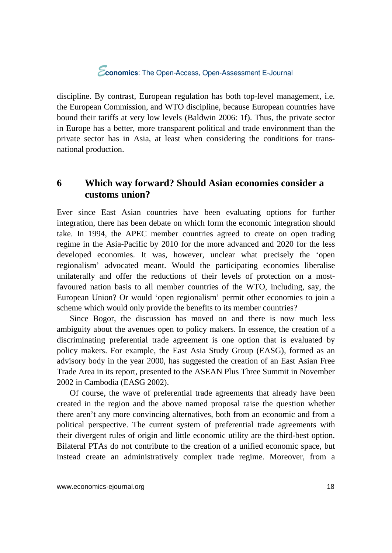discipline. By contrast, European regulation has both top-level management, i.e. the European Commission, and WTO discipline, because European countries have bound their tariffs at very low levels (Baldwin 2006: 1f). Thus, the private sector in Europe has a better, more transparent political and trade environment than the private sector has in Asia, at least when considering the conditions for transnational production.

#### **6 Which way forward? Should Asian economies consider a customs union?**

Ever since East Asian countries have been evaluating options for further integration, there has been debate on which form the economic integration should take. In 1994, the APEC member countries agreed to create on open trading regime in the Asia-Pacific by 2010 for the more advanced and 2020 for the less developed economies. It was, however, unclear what precisely the 'open regionalism' advocated meant. Would the participating economies liberalise unilaterally and offer the reductions of their levels of protection on a mostfavoured nation basis to all member countries of the WTO, including, say, the European Union? Or would 'open regionalism' permit other economies to join a scheme which would only provide the benefits to its member countries?

Since Bogor, the discussion has moved on and there is now much less ambiguity about the avenues open to policy makers. In essence, the creation of a discriminating preferential trade agreement is one option that is evaluated by policy makers. For example, the East Asia Study Group (EASG), formed as an advisory body in the year 2000, has suggested the creation of an East Asian Free Trade Area in its report, presented to the ASEAN Plus Three Summit in November 2002 in Cambodia (EASG 2002).

Of course, the wave of preferential trade agreements that already have been created in the region and the above named proposal raise the question whether there aren't any more convincing alternatives, both from an economic and from a political perspective. The current system of preferential trade agreements with their divergent rules of origin and little economic utility are the third-best option. Bilateral PTAs do not contribute to the creation of a unified economic space, but instead create an administratively complex trade regime. Moreover, from a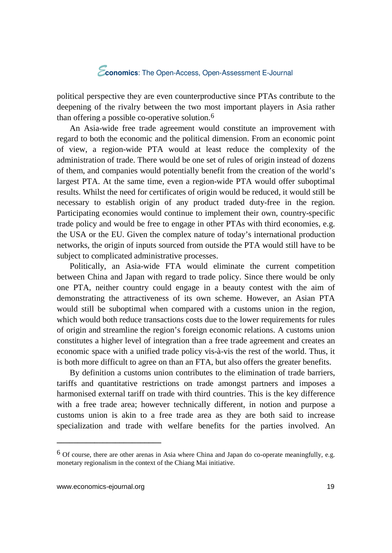political perspective they are even counterproductive since PTAs contribute to the deepening of the rivalry between the two most important players in Asia rather than offering a possible co-operative solution.[6](#page-19-0)

An Asia-wide free trade agreement would constitute an improvement with regard to both the economic and the political dimension. From an economic point of view, a region-wide PTA would at least reduce the complexity of the administration of trade. There would be one set of rules of origin instead of dozens of them, and companies would potentially benefit from the creation of the world's largest PTA. At the same time, even a region-wide PTA would offer suboptimal results. Whilst the need for certificates of origin would be reduced, it would still be necessary to establish origin of any product traded duty-free in the region. Participating economies would continue to implement their own, country-specific trade policy and would be free to engage in other PTAs with third economies, e.g. the USA or the EU. Given the complex nature of today's international production networks, the origin of inputs sourced from outside the PTA would still have to be subject to complicated administrative processes.

Politically, an Asia-wide FTA would eliminate the current competition between China and Japan with regard to trade policy. Since there would be only one PTA, neither country could engage in a beauty contest with the aim of demonstrating the attractiveness of its own scheme. However, an Asian PTA would still be suboptimal when compared with a customs union in the region, which would both reduce transactions costs due to the lower requirements for rules of origin and streamline the region's foreign economic relations. A customs union constitutes a higher level of integration than a free trade agreement and creates an economic space with a unified trade policy vis-à-vis the rest of the world. Thus, it is both more difficult to agree on than an FTA, but also offers the greater benefits.

By definition a customs union contributes to the elimination of trade barriers, tariffs and quantitative restrictions on trade amongst partners and imposes a harmonised external tariff on trade with third countries. This is the key difference with a free trade area; however technically different, in notion and purpose a customs union is akin to a free trade area as they are both said to increase specialization and trade with welfare benefits for the parties involved. An

<span id="page-19-0"></span> $6$  Of course, there are other arenas in Asia where China and Japan do co-operate meaningfully, e.g. monetary regionalism in the context of the Chiang Mai initiative.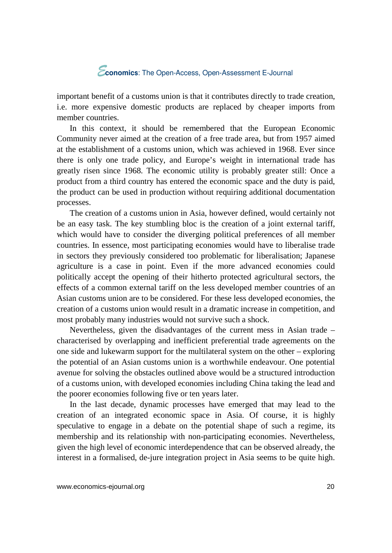important benefit of a customs union is that it contributes directly to trade creation, i.e. more expensive domestic products are replaced by cheaper imports from member countries.

In this context, it should be remembered that the European Economic Community never aimed at the creation of a free trade area, but from 1957 aimed at the establishment of a customs union, which was achieved in 1968. Ever since there is only one trade policy, and Europe's weight in international trade has greatly risen since 1968. The economic utility is probably greater still: Once a product from a third country has entered the economic space and the duty is paid, the product can be used in production without requiring additional documentation processes.

The creation of a customs union in Asia, however defined, would certainly not be an easy task. The key stumbling bloc is the creation of a joint external tariff, which would have to consider the diverging political preferences of all member countries. In essence, most participating economies would have to liberalise trade in sectors they previously considered too problematic for liberalisation; Japanese agriculture is a case in point. Even if the more advanced economies could politically accept the opening of their hitherto protected agricultural sectors, the effects of a common external tariff on the less developed member countries of an Asian customs union are to be considered. For these less developed economies, the creation of a customs union would result in a dramatic increase in competition, and most probably many industries would not survive such a shock.

Nevertheless, given the disadvantages of the current mess in Asian trade – characterised by overlapping and inefficient preferential trade agreements on the one side and lukewarm support for the multilateral system on the other – exploring the potential of an Asian customs union is a worthwhile endeavour. One potential avenue for solving the obstacles outlined above would be a structured introduction of a customs union, with developed economies including China taking the lead and the poorer economies following five or ten years later.

In the last decade, dynamic processes have emerged that may lead to the creation of an integrated economic space in Asia. Of course, it is highly speculative to engage in a debate on the potential shape of such a regime, its membership and its relationship with non-participating economies. Nevertheless, given the high level of economic interdependence that can be observed already, the interest in a formalised, de-jure integration project in Asia seems to be quite high.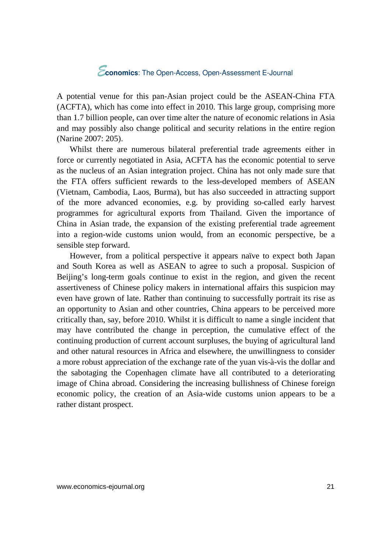A potential venue for this pan-Asian project could be the ASEAN-China FTA (ACFTA), which has come into effect in 2010. This large group, comprising more than 1.7 billion people, can over time alter the nature of economic relations in Asia and may possibly also change political and security relations in the entire region (Narine 2007: 205).

Whilst there are numerous bilateral preferential trade agreements either in force or currently negotiated in Asia, ACFTA has the economic potential to serve as the nucleus of an Asian integration project. China has not only made sure that the FTA offers sufficient rewards to the less-developed members of ASEAN (Vietnam, Cambodia, Laos, Burma), but has also succeeded in attracting support of the more advanced economies, e.g. by providing so-called early harvest programmes for agricultural exports from Thailand. Given the importance of China in Asian trade, the expansion of the existing preferential trade agreement into a region-wide customs union would, from an economic perspective, be a sensible step forward.

However, from a political perspective it appears naïve to expect both Japan and South Korea as well as ASEAN to agree to such a proposal. Suspicion of Beijing's long-term goals continue to exist in the region, and given the recent assertiveness of Chinese policy makers in international affairs this suspicion may even have grown of late. Rather than continuing to successfully portrait its rise as an opportunity to Asian and other countries, China appears to be perceived more critically than, say, before 2010. Whilst it is difficult to name a single incident that may have contributed the change in perception, the cumulative effect of the continuing production of current account surpluses, the buying of agricultural land and other natural resources in Africa and elsewhere, the unwillingness to consider a more robust appreciation of the exchange rate of the yuan vis-à-vis the dollar and the sabotaging the Copenhagen climate have all contributed to a deteriorating image of China abroad. Considering the increasing bullishness of Chinese foreign economic policy, the creation of an Asia-wide customs union appears to be a rather distant prospect.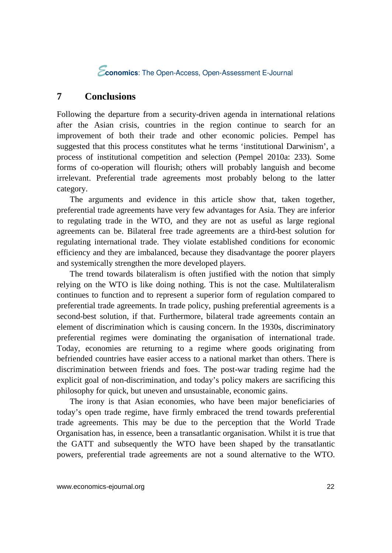#### **7 Conclusions**

Following the departure from a security-driven agenda in international relations after the Asian crisis, countries in the region continue to search for an improvement of both their trade and other economic policies. Pempel has suggested that this process constitutes what he terms 'institutional Darwinism', a process of institutional competition and selection (Pempel 2010a: 233). Some forms of co-operation will flourish; others will probably languish and become irrelevant. Preferential trade agreements most probably belong to the latter category.

The arguments and evidence in this article show that, taken together, preferential trade agreements have very few advantages for Asia. They are inferior to regulating trade in the WTO, and they are not as useful as large regional agreements can be. Bilateral free trade agreements are a third-best solution for regulating international trade. They violate established conditions for economic efficiency and they are imbalanced, because they disadvantage the poorer players and systemically strengthen the more developed players.

The trend towards bilateralism is often justified with the notion that simply relying on the WTO is like doing nothing. This is not the case. Multilateralism continues to function and to represent a superior form of regulation compared to preferential trade agreements. In trade policy, pushing preferential agreements is a second-best solution, if that. Furthermore, bilateral trade agreements contain an element of discrimination which is causing concern. In the 1930s, discriminatory preferential regimes were dominating the organisation of international trade. Today, economies are returning to a regime where goods originating from befriended countries have easier access to a national market than others. There is discrimination between friends and foes. The post-war trading regime had the explicit goal of non-discrimination, and today's policy makers are sacrificing this philosophy for quick, but uneven and unsustainable, economic gains.

The irony is that Asian economies, who have been major beneficiaries of today's open trade regime, have firmly embraced the trend towards preferential trade agreements. This may be due to the perception that the World Trade Organisation has, in essence, been a transatlantic organisation. Whilst it is true that the GATT and subsequently the WTO have been shaped by the transatlantic powers, preferential trade agreements are not a sound alternative to the WTO.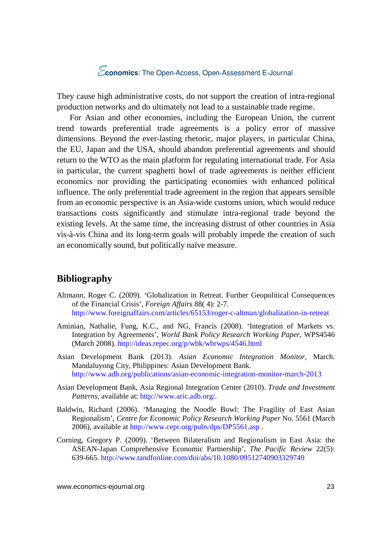They cause high administrative costs, do not support the creation of intra-regional production networks and do ultimately not lead to a sustainable trade regime.

For Asian and other economies, including the European Union, the current trend towards preferential trade agreements is a policy error of massive dimensions. Beyond the ever-lasting rhetoric, major players, in particular China, the EU, Japan and the USA, should abandon preferential agreements and should return to the WTO as the main platform for regulating international trade. For Asia in particular, the current spaghetti bowl of trade agreements is neither efficient economics nor providing the participating economies with enhanced political influence. The only preferential trade agreement in the region that appears sensible from an economic perspective is an Asia-wide customs union, which would reduce transactions costs significantly and stimulate intra-regional trade beyond the existing levels. At the same time, the increasing distrust of other countries in Asia vis-à-vis China and its long-term goals will probably impede the creation of such an economically sound, but politically naïve measure.

#### **Bibliography**

- Altmann, Roger C. (2009). 'Globalization in Retreat. Further Geopolitical Consequences of the Financial Crisis', *Foreign Affairs* 88( 4): 2-7. <http://www.foreignaffairs.com/articles/65153/roger-c-altman/globalization-in-retreat>
- Aminian, Nathalie, Fung, K.C., and NG, Francis (2008). 'Integration of Markets vs. Integration by Agreements', *World Bank Policy Research Working Paper*, WPS4546 (March 2008).<http://ideas.repec.org/p/wbk/wbrwps/4546.html>
- Asian Development Bank (2013). *Asian Economic Integration Monitor*, March. Mandaluyong City, Philippines: Asian Development Bank. <http://www.adb.org/publications/asian-economic-integration-monitor-march-2013>
- Asian Development Bank, Asia Regional Integration Center (2010). *Trade and Investment Patterns*, available at: [http://www.aric.adb.org/.](http://www.aric.adb.org/)
- Baldwin, Richard (2006). 'Managing the Noodle Bowl: The Fragility of East Asian Regionalism', *Centre for Economic Policy Research Working Paper* No. 5561 (March 2006), available at<http://www.cepr.org/pubs/dps/DP5561.asp> .
- Corning, Gregory P. (2009). 'Between Bilateralism and Regionalism in East Asia: the ASEAN-Japan Comprehensive Economic Partnership', *The Pacific Review* 22(5): 639-665.<http://www.tandfonline.com/doi/abs/10.1080/09512740903329749>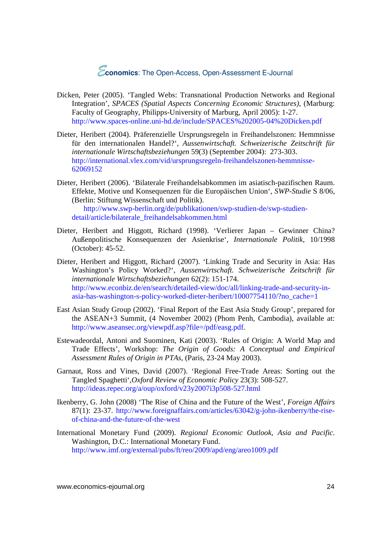- Dicken, Peter (2005). 'Tangled Webs: Transnational Production Networks and Regional Integration', *SPACES (Spatial Aspects Concerning Economic Structures)*, (Marburg: Faculty of Geography, Philipps-University of Marburg, April 2005): 1-27. <http://www.spaces-online.uni-hd.de/include/SPACES%202005-04%20Dicken.pdf>
- Dieter, Heribert (2004). Präferenzielle Ursprungsregeln in Freihandelszonen: Hemmnisse für den internationalen Handel?', *Aussenwirtschaft. Schweizerische Zeitschrift für internationale Wirtschaftsbeziehungen* 59(3) (September 2004): 273-303. [http://international.vlex.com/vid/ursprungsregeln-freihandelszonen-hemmnisse-](http://international.vlex.com/vid/ursprungsregeln-freihandelszonen-hemmnisse-62069152)[62069152](http://international.vlex.com/vid/ursprungsregeln-freihandelszonen-hemmnisse-62069152)
- Dieter, Heribert (2006). 'Bilaterale Freihandelsabkommen im asiatisch-pazifischen Raum. Effekte, Motive und Konsequenzen für die Europäischen Union', *SWP-Studie* S 8/06, (Berlin: Stiftung Wissenschaft und Politik). [http://www.swp-berlin.org/de/publikationen/swp-studien-de/swp-studien](http://www.swp-berlin.org/de/publikationen/swp-studien-de/swp-studien-detail/article/bilaterale_freihandelsabkommen.html)[detail/article/bilaterale\\_freihandelsabkommen.html](http://www.swp-berlin.org/de/publikationen/swp-studien-de/swp-studien-detail/article/bilaterale_freihandelsabkommen.html)
- Dieter, Heribert and Higgott, Richard (1998). 'Verlierer Japan Gewinner China? Außenpolitische Konsequenzen der Asienkrise', *Internationale Politik*, 10/1998 (October): 45-52.
- Dieter, Heribert and Higgott, Richard (2007). 'Linking Trade and Security in Asia: Has Washington's Policy Worked?', *Aussenwirtschaft. Schweizerische Zeitschrift für internationale Wirtschaftsbeziehungen* 62(2): 151-174. [http://www.econbiz.de/en/search/detailed-view/doc/all/linking-trade-and-security-in](http://www.econbiz.de/en/search/detailed-view/doc/all/linking-trade-and-security-in-asia-has-washington-s-policy-worked-dieter-heribert/10007754110/?no_cache=1)[asia-has-washington-s-policy-worked-dieter-heribert/10007754110/?no\\_cache=1](http://www.econbiz.de/en/search/detailed-view/doc/all/linking-trade-and-security-in-asia-has-washington-s-policy-worked-dieter-heribert/10007754110/?no_cache=1)
- East Asian Study Group (2002). 'Final Report of the East Asia Study Group', prepared for the ASEAN+3 Summit, (4 November 2002) (Phom Penh, Cambodia), available at: [http://www.aseansec.org/viewpdf.asp?file=/pdf/easg.pdf.](http://www.aseansec.org/viewpdf.asp?file=/pdf/easg.pdf)
- Estewadeordal, Antoni and Suominen, Kati (2003). 'Rules of Origin: A World Map and Trade Effects', Workshop: *The Origin of Goods: A Conceptual and Empirical Assessment Rules of Origin in PTAs*, (Paris, 23-24 May 2003).
- Garnaut, Ross and Vines, David (2007). 'Regional Free-Trade Areas: Sorting out the Tangled Spaghetti',*Oxford Review of Economic Policy* 23(3): 508-527. <http://ideas.repec.org/a/oup/oxford/v23y2007i3p508-527.html>
- Ikenberry, G. John (2008) 'The Rise of China and the Future of the West', *Foreign Affairs* 87(1): 23-37. [http://www.foreignaffairs.com/articles/63042/g-john-ikenberry/the-rise](http://www.foreignaffairs.com/articles/63042/g-john-ikenberry/the-rise-of-china-and-the-future-of-the-west)[of-china-and-the-future-of-the-west](http://www.foreignaffairs.com/articles/63042/g-john-ikenberry/the-rise-of-china-and-the-future-of-the-west)
- International Monetary Fund (2009). *Regional Economic Outlook, Asia and Pacific*. Washington, D.C.: International Monetary Fund. <http://www.imf.org/external/pubs/ft/reo/2009/apd/eng/areo1009.pdf>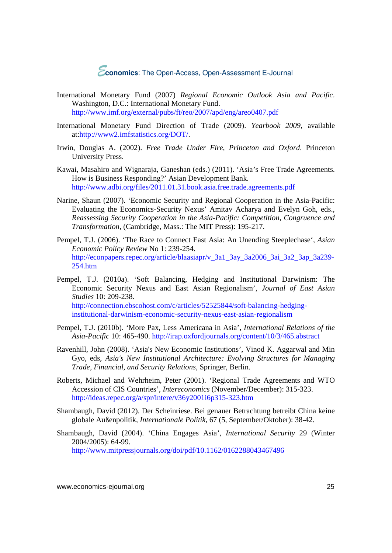- International Monetary Fund (2007) *Regional Economic Outlook Asia and Pacific*. Washington, D.C.: International Monetary Fund. <http://www.imf.org/external/pubs/ft/reo/2007/apd/eng/areo0407.pdf>
- International Monetary Fund Direction of Trade (2009). *Yearbook 2009*, available at[:http://www2.imfstatistics.org/DOT/.](http://www2.imfstatistics.org/DOT/)
- Irwin, Douglas A. (2002). *Free Trade Under Fire, Princeton and Oxford*. Princeton University Press.
- Kawai, Masahiro and Wignaraja, Ganeshan (eds.) (2011). 'Asia's Free Trade Agreements. How is Business Responding?' Asian Development Bank. <http://www.adbi.org/files/2011.01.31.book.asia.free.trade.agreements.pdf>
- Narine, Shaun (2007). 'Economic Security and Regional Cooperation in the Asia-Pacific: Evaluating the Economics-Security Nexus' Amitav Acharya and Evelyn Goh, eds., *Reassessing Security Cooperation in the Asia-Pacific: Competition, Congruence and Transformation*, (Cambridge, Mass.: The MIT Press): 195-217.
- Pempel, T.J. (2006). 'The Race to Connect East Asia: An Unending Steeplechase', *Asian Economic Policy Review* No 1: 239-254. [http://econpapers.repec.org/article/blaasiapr/v\\_3a1\\_3ay\\_3a2006\\_3ai\\_3a2\\_3ap\\_3a239-](http://econpapers.repec.org/article/blaasiapr/v_3a1_3ay_3a2006_3ai_3a2_3ap_3a239-254.htm) [254.htm](http://econpapers.repec.org/article/blaasiapr/v_3a1_3ay_3a2006_3ai_3a2_3ap_3a239-254.htm)
- Pempel, T.J. (2010a). 'Soft Balancing, Hedging and Institutional Darwinism: The Economic Security Nexus and East Asian Regionalism', *Journal of East Asian Studies* 10: 209-238. [http://connection.ebscohost.com/c/articles/52525844/soft-balancing-hedging](http://connection.ebscohost.com/c/articles/52525844/soft-balancing-hedging-institutional-darwinism-economic-security-nexus-east-asian-regionalism)[institutional-darwinism-economic-security-nexus-east-asian-regionalism](http://connection.ebscohost.com/c/articles/52525844/soft-balancing-hedging-institutional-darwinism-economic-security-nexus-east-asian-regionalism)
- Pempel, T.J. (2010b). 'More Pax, Less Americana in Asia', *International Relations of the Asia-Pacific* 10: 465-490.<http://irap.oxfordjournals.org/content/10/3/465.abstract>
- Ravenhill, John (2008). 'Asia's New Economic Institutions', Vinod K. Aggarwal and Min Gyo, eds, *Asia's New Institutional Architecture: Evolving Structures for Managing Trade, Financial, and Security Relations*, Springer, Berlin.
- Roberts, Michael and Wehrheim, Peter (2001). 'Regional Trade Agreements and WTO Accession of CIS Countries', *Intereconomics* (November/December): 315-323. <http://ideas.repec.org/a/spr/intere/v36y2001i6p315-323.htm>
- Shambaugh, David (2012). Der Scheinriese. Bei genauer Betrachtung betreibt China keine globale Außenpolitik, *Internationale Politik*, 67 (5, September/Oktober): 38-42.
- Shambaugh, David (2004). 'China Engages Asia', *International Security* 29 (Winter 2004/2005): 64-99. <http://www.mitpressjournals.org/doi/pdf/10.1162/0162288043467496>

www.economics-ejournal.org 25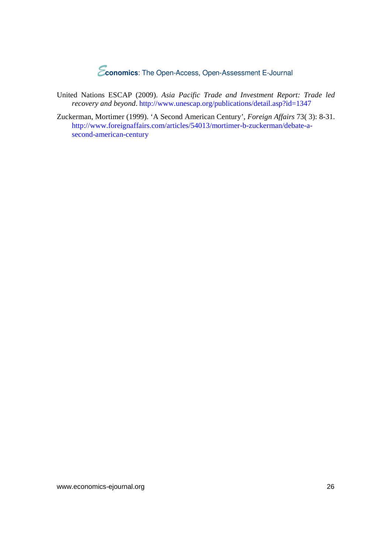- United Nations ESCAP (2009). *Asia Pacific Trade and Investment Report: Trade led recovery and beyond*[. http://www.unescap.org/publications/detail.asp?id=1347](http://www.unescap.org/publications/detail.asp?id=1347)
- Zuckerman, Mortimer (1999). 'A Second American Century', *Foreign Affairs* 73( 3): 8-31. [http://www.foreignaffairs.com/articles/54013/mortimer-b-zuckerman/debate-a](http://www.foreignaffairs.com/articles/54013/mortimer-b-zuckerman/debate-a-second-american-century)[second-american-century](http://www.foreignaffairs.com/articles/54013/mortimer-b-zuckerman/debate-a-second-american-century)